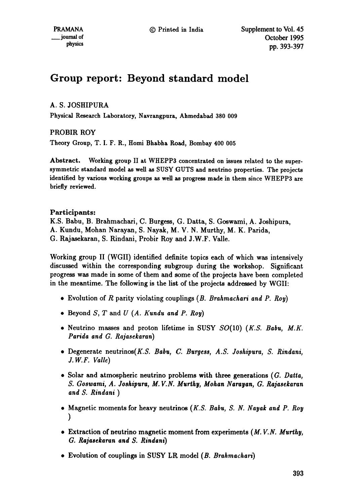# **Group report: Beyond standard model**

# A. S. JOSHIPURA

Physical Research Laboratory, Navrangpura, Ahmedabad 380 009

# PROBIR ROY

Theory Group, T. I. F. R., Homi Bhabha Road, Bombay 400 005

Abstract. Working group II at WHEPP3 concentrated on issues related to the supersymmetric standard model as well as SUSY GUTS and neutrino properties. The projects identified by various working groups as well as progress made in them since WHEPP3 are briefly reviewed.

# Participants:

K.S. Babu, B. Brahmachari, C. Burgess, G. Datta, S. Goswami, A. Joshipura, A. Kundu, Mohan Narayan, S. Nayak, M. V. N. Murthy, M. K. Parida, G. Rajasekaran, S. Rindani, Probir Roy and J.W.F. Valle.

Working group II (WGII) identified definite topics each of which was intensively discussed within the corresponding subgroup during the workshop. Significant progress was made in some of them and some of the projects have been completed in the meantime. The following is the list of the projects addressed by WGII:

- 9 Evolution of R parity violating couplings *(B. Brahmachari and P. Roy)*
- 9 Beyond S, T and *U (A. Kendu and P. Roy)*
- 9 Neutrino masses and proton lifetime in SUSY SO(10) *(K.S. Babe, M.K. Parida and G. Rajasekaran)*
- **<sup>9</sup>**Degenerate neutrinos(K.S. *Babe, C. Burgess, A.S. Joshipera, S. Rindani, J.W.F. Valle)*
- Solar and atmospheric neutrino problems with three generations *(G. Datta, S. Goswami, A. Joshipera, M. V.N. Mer~hy, Mohan Narayan, G. Rajasekaran and S. Rindani )*
- 9 Magnetic moments for heavy neutrinos *(K.S. Babe, S. N. Nayak and P. Roy*  **)**
- 9 Extraction of neutrino magnetic moment from experiments *(M. V.N. Merthy, G. Rajasekaran and S. Rindani)*
- 9 Evolution of couplings in SUSY LR model *(B. Brahmachari)*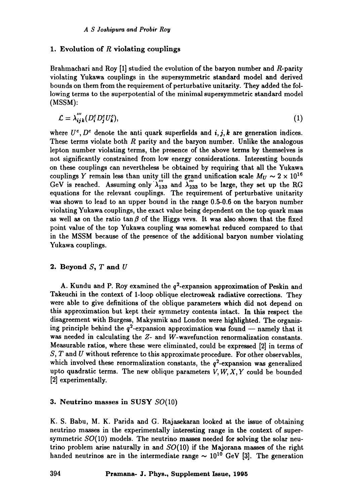## 1. Evolution of  $R$  violating couplings

Brahmachari and Roy [1] studied the evolution of the baryon number and  $R$ -parity violating Yukawa couplings in the supersymmetric standard model and derived bounds on them from the requirement of perturbative unitarity. They added the following terms to the superpotential of the minimal supersymmetric standard model (MSSM):

$$
\mathcal{L} = \lambda_{ijk}^{\prime\prime}(D_i^c D_j^c U_k^c),\tag{1}
$$

where  $U^c$ ,  $D^c$  denote the anti quark superfields and *i*, *j*, *k* are generation indices. These terms violate both  $R$  parity and the baryon number. Unlike the analogous lepton number violating terms, the presence of the above terms by themselves is not significantly constrained from low energy considerations. Interesting bounds on these couplings can nevertheless be obtained by requiring that all the Yukawa couplings Y remain less than unity till the grand unification scale  $M_U \sim 2 \times 10^{16}$ <br>GeV is reached. Assuming only  $\lambda''_{133}$  and  $\lambda''_{233}$  to be large, they set up the RG equations for the relevant couplings. The requirement of perturbative unitarity was shown to lead to an upper bound in the range 0.5-0.6 on the baryon number violating Yukawa couplings, the exact value being dependent on the top quark mass as well as on the ratio tan  $\beta$  of the Higgs vevs. It was also shown that the fixed point value of the top Yukawa coupling was somewhat reduced compared to that in the MSSM because of the presence of the additional baryon number violating Yukawa couplings.

## **2. Beyond S, T and U**

A. Kundu and P. Roy examined the  $q^2$ -expansion approximation of Peskin and Takeuchi in the context of l-loop oblique electroweak radiative corrections. They were able to give definitions of the oblique parameters which did not depend on this approximation but kept their symmetry contents intact. In this respect the disagreement with Burgess, Makysmik and London were highlighted. The organizing principle behind the  $q^2$ -expansion approximation was found -- namely that it was needed in calculating the Z- and W-wavefunction renormalization constants. Measurable ratios, where these were eliminated, could be expressed [2] in terms of  $S, T$  and U without reference to this approximate procedure. For other observables, which involved these renormalization constants, the  $q^2$ -expansion was generalized upto quadratic terms. The new oblique parameters  $V, W, X, Y$  could be bounded [2] experimentally.

## 3. Neutrino masses in SUSY SO(10)

K. S. Babu, M. K. Parida and G. Rajasekaran looked at the issue of obtaining neutrino masses in the experimentally interesting range in the context of supersymmetric  $SO(10)$  models. The neutrino masses needed for solving the solar neutrino problem arise naturally in and  $SO(10)$  if the Majorana masses of the right handed neutrinos are in the intermediate range  $\sim 10^{10}$  GeV [3]. The generation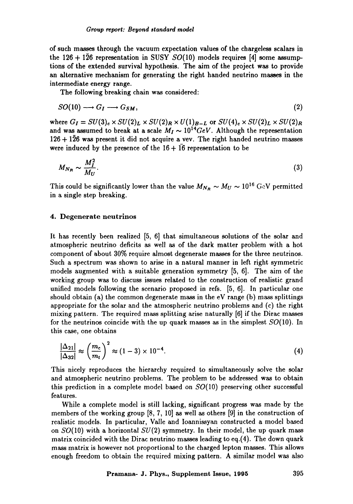of such masses through the vacuum expectation values of the chargeless scalars in the 126 + 126 representation in SUSY  $SO(10)$  models requires [4] some assumptions of the extended survival hypothesis. The aim of the project was to provide an alternative mechanism for generating the right handed neutrino masses in the intermediate energy range.

The following breaking chain was considered:

$$
SO(10) \longrightarrow G_I \longrightarrow G_{SM}, \tag{2}
$$

where  $G_I = SU(3)_c \times SU(2)_L \times SU(2)_R \times U(1)_{B-L}$  or  $SU(4)_c \times SU(2)_L \times SU(2)_R$ and was assumed to break at a scale  $M_I \sim 10^{14} GeV$ . Although the representation  $126 + 126$  was present it did not acquire a vev. The right handed neutrino masses were induced by the presence of the  $16 + 16$  representation to be

$$
M_{N_R} \sim \frac{M_I^2}{M_U}.\tag{3}
$$

This could be significantly lower than the value  $M_{N_R} \sim M_U \sim 10^{16} \text{ GeV}$  permitted in a single step breaking.

#### 4. Degenerate neutrinos

It has recently been realized [5, 6] that simultaneous solutions of the solar and atmospheric neutrino deficits as well as of the dark matter problem with a hot component of about 30% require almost degenerate masses for the three neutrinos. Such a spectrum was shown to arise in a natural manner in left right symmetric models augmented with a suitable generation symmetry [5, 6]. The aim of the working group was to discuss issues related to the construction of realistic grand unified models following the scenario proposed in refs. [5, 6]. In particular one should obtain (a) the common degenerate mass in the eV range (b) mass splittings appropriate for the solar and the atmospheric neutrino problems and (c) the right mixing pattern. The required mass splitting arise naturally [6] if the Dirac masses for the neutrinos coincide with the up quark masses as in the simplest  $SO(10)$ . In this case, one obtains

$$
\frac{|\Delta_{21}|}{|\Delta_{32}|} \approx \left(\frac{m_c}{m_t}\right)^2 \approx (1-3) \times 10^{-4}.\tag{4}
$$

This nicely reproduces the hierarchy required to simultaneously solve the solar and atmospheric neutrino problems. The problem to be addressed was to obtain this prediction in a complete model based on  $SO(10)$  preserving other successful features.

While a complete model is still lacking, significant progress was made by the members of the working group  $[8, 7, 10]$  as well as others  $[9]$  in the construction of realistic models. In particular, Valle and Ioannissyan constructed a model based on  $SO(10)$  with a horizontal  $SU(2)$  symmetry. In their model, the up quark mass matrix coincided with the Dirac neutrino masses leading to eq.(4). The down quark mass matrix is however not proportional to the charged lepton masses. This allows enough freedom to obtain the required mixing pattern. A similar model was also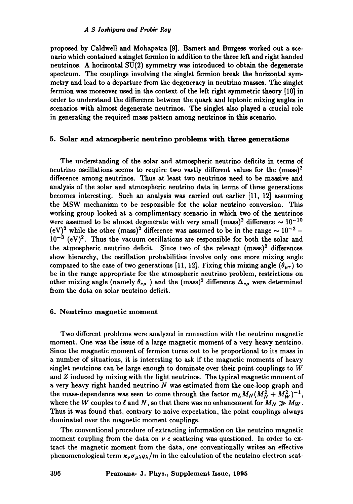proposed by Caldwell and Mohapatra [9]. Barnett and Burgess worked out a scenario which contained a singlet fermion in addition to the three left and right handed neutrinos. A horizontal SU(2) symmetry was introduced to obtain the degenerate spectrum. The couplings involving the singht fermion break the horizontal symmetry and lead to a departure from the degeneracy in neutrino masses. The singlet fermion was moreover used in the context of the left right symmetric theory [10] in order to understand the difference between the quark and leptonic mixing angles in scenarios with almost degenerate neutrinos. The singlet also played a crucial role in generating the required mass pattern among neutrinos in this scenario.

## 5. Solar and atmospheric neutrino problems with **three generations**

The understanding of the solar and atmospheric neutrino deficits in terms of neutrino oscillations seems to require two vastly different values for the  $(mass)^2$ difference among neutrinos. Thus at least two neutrinos need to be massive and analysis of the solar and atmospheric neutrino data in terms of three generations becomes interesting. Such an analysis was carried out earlier [11, 12] assuming the MSW mechanism to be responsible for the solar neutrino conversion. This working group looked at a complimentary scenario in which two of the neutrinos were assumed to be almost degenerate with very small (mass)<sup>2</sup> difference  $\sim 10^{-10}$ (eV)<sup>2</sup> while the other (mass)<sup>2</sup> difference was assumed to be in the range  $\sim 10^{-2}$  - $10^{-3}$  (eV)<sup>2</sup>. Thus the vacuum oscillations are responsible for both the solar and the atmospheric neutrino deficit. Since two of the relevant (mass)<sup>2</sup> differences show hierarchy, the oscillation probabilities involve only one more mixing angle compared to the case of two generations [11, 12]. Fixing this mixing angle  $(\theta_{\mu\tau})$  to be in the range appropriate for the atmospheric neutrino problem, restrictions on other mixing angle (namely  $\theta_{e\mu}$  ) and the (mass)<sup>2</sup> difference  $\Delta_{e\mu}$  were determined from the data on solar neutrino deficit.

#### 6. Neutrino magnetic moment

Two different problems were analyzed in connection with the neutrino magnetic moment. One was the issue of a large magnetic moment of a very heavy neutrino. Since the magnetic moment of fermion turns out to be proportional to its mass in a number of situations, it is interesting to ask if the magnetic moments of heavy singlet neutrinos can be large enough to dominate over their point couplings to  $W$ and Z induced by mixing with the light neutrinos. The typical magnetic moment of a very heavy right handed neutrino N was estimated from the one-loop graph and the mass-dependence was seen to come through the factor  $m_L M_N (M_N^2 + M_W^2)^{-1}$ , where the W couples to  $\ell$  and N, so that there was no enhancement for  $M_N \gg M_W$ . Thus it was found that, contrary to naive expectation, the point couplings always dominated over the magnetic moment couplings.

The conventional procedure of extracting information on the neutrino magnetic moment coupling from the data on  $\nu$  e scattering was questioned. In order to extract the magnetic moment from the data, one conventionally writes an effective phenomenological term  $\kappa_{\nu}\sigma_{\mu\lambda}q_{\lambda}/m$  in the calculation of the neutrino electron scat-

**396 Pramana- J. Phys., Supplement Issue, 1995**